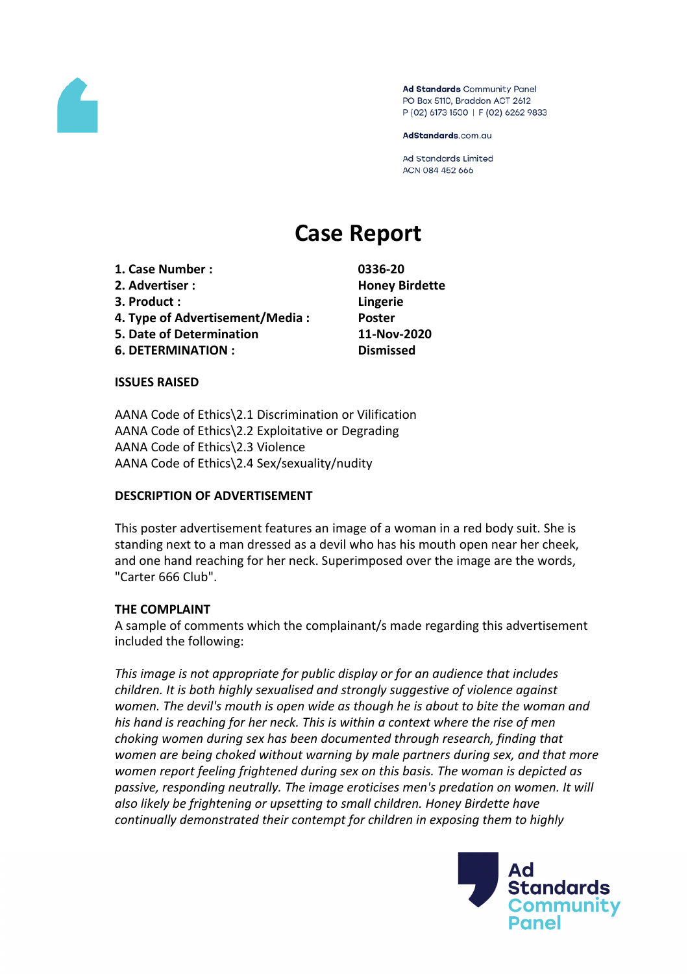

Ad Standards Community Panel PO Box 5110, Braddon ACT 2612 P (02) 6173 1500 | F (02) 6262 9833

AdStandards.com.au

**Ad Standards Limited** ACN 084 452 666

# **Case Report**

**1. Case Number : 0336-20 2. Advertiser : Honey Birdette 3. Product : Lingerie 4. Type of Advertisement/Media : Poster 5. Date of Determination 11-Nov-2020 6. DETERMINATION : Dismissed**

#### **ISSUES RAISED**

AANA Code of Ethics\2.1 Discrimination or Vilification AANA Code of Ethics\2.2 Exploitative or Degrading AANA Code of Ethics\2.3 Violence AANA Code of Ethics\2.4 Sex/sexuality/nudity

#### **DESCRIPTION OF ADVERTISEMENT**

This poster advertisement features an image of a woman in a red body suit. She is standing next to a man dressed as a devil who has his mouth open near her cheek, and one hand reaching for her neck. Superimposed over the image are the words, "Carter 666 Club".

### **THE COMPLAINT**

A sample of comments which the complainant/s made regarding this advertisement included the following:

*This image is not appropriate for public display or for an audience that includes children. It is both highly sexualised and strongly suggestive of violence against women. The devil's mouth is open wide as though he is about to bite the woman and his hand is reaching for her neck. This is within a context where the rise of men choking women during sex has been documented through research, finding that women are being choked without warning by male partners during sex, and that more women report feeling frightened during sex on this basis. The woman is depicted as passive, responding neutrally. The image eroticises men's predation on women. It will also likely be frightening or upsetting to small children. Honey Birdette have continually demonstrated their contempt for children in exposing them to highly*

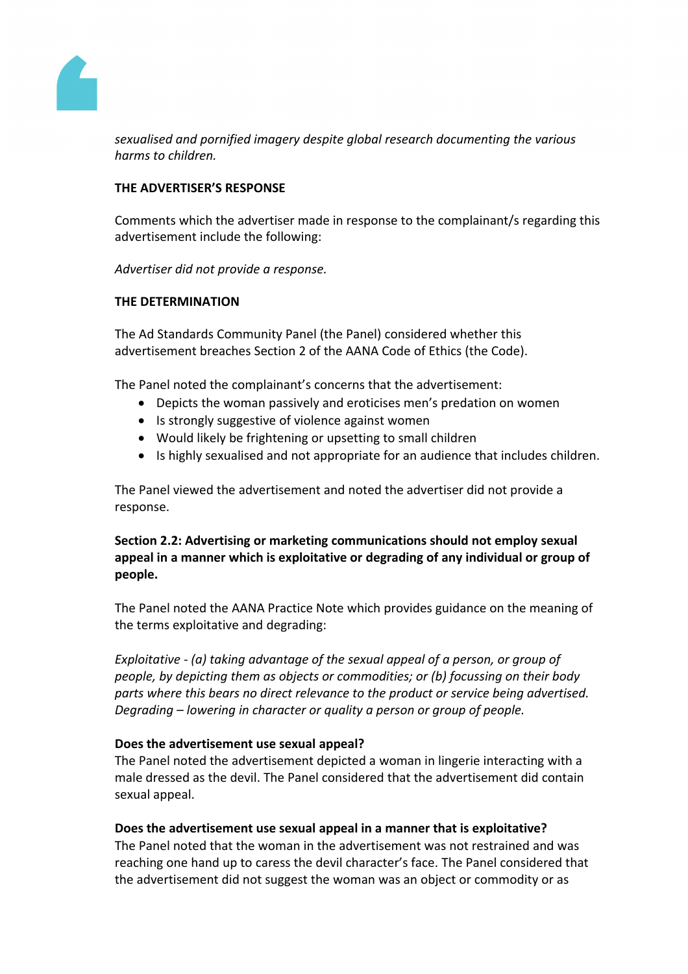

*sexualised and pornified imagery despite global research documenting the various harms to children.*

## **THE ADVERTISER'S RESPONSE**

Comments which the advertiser made in response to the complainant/s regarding this advertisement include the following:

*Advertiser did not provide a response.*

### **THE DETERMINATION**

The Ad Standards Community Panel (the Panel) considered whether this advertisement breaches Section 2 of the AANA Code of Ethics (the Code).

The Panel noted the complainant's concerns that the advertisement:

- Depicts the woman passively and eroticises men's predation on women
- Is strongly suggestive of violence against women
- Would likely be frightening or upsetting to small children
- Is highly sexualised and not appropriate for an audience that includes children.

The Panel viewed the advertisement and noted the advertiser did not provide a response.

**Section 2.2: Advertising or marketing communications should not employ sexual appeal in a manner which is exploitative or degrading of any individual or group of people.**

The Panel noted the AANA Practice Note which provides guidance on the meaning of the terms exploitative and degrading:

*Exploitative - (a) taking advantage of the sexual appeal of a person, or group of people, by depicting them as objects or commodities; or (b) focussing on their body parts where this bears no direct relevance to the product or service being advertised. Degrading – lowering in character or quality a person or group of people.*

### **Does the advertisement use sexual appeal?**

The Panel noted the advertisement depicted a woman in lingerie interacting with a male dressed as the devil. The Panel considered that the advertisement did contain sexual appeal.

### **Does the advertisement use sexual appeal in a manner that is exploitative?**

The Panel noted that the woman in the advertisement was not restrained and was reaching one hand up to caress the devil character's face. The Panel considered that the advertisement did not suggest the woman was an object or commodity or as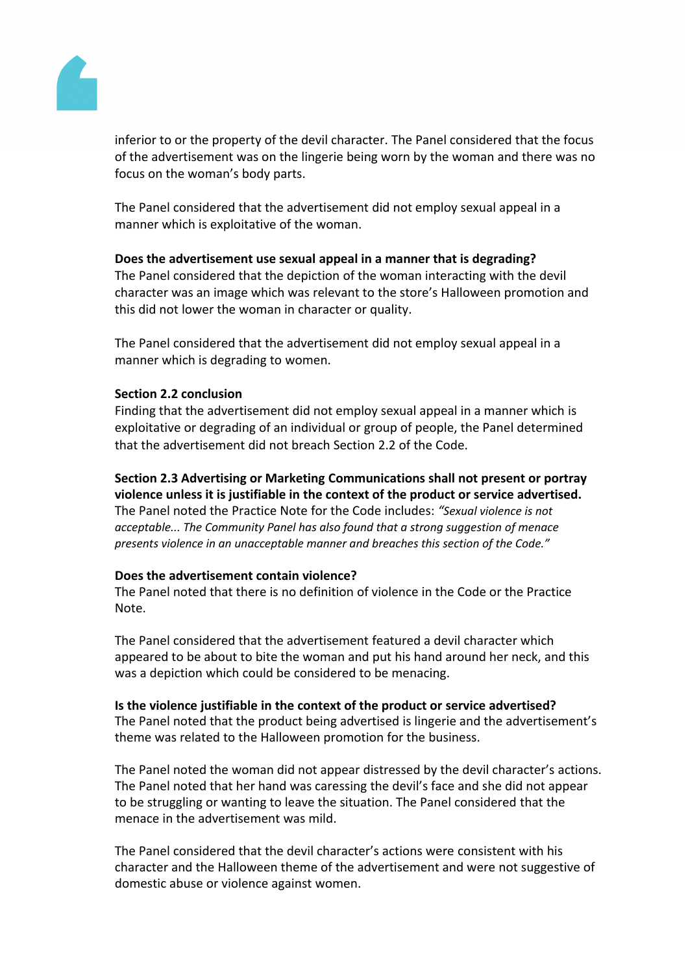

inferior to or the property of the devil character. The Panel considered that the focus of the advertisement was on the lingerie being worn by the woman and there was no focus on the woman's body parts.

The Panel considered that the advertisement did not employ sexual appeal in a manner which is exploitative of the woman.

# **Does the advertisement use sexual appeal in a manner that is degrading?**

The Panel considered that the depiction of the woman interacting with the devil character was an image which was relevant to the store's Halloween promotion and this did not lower the woman in character or quality.

The Panel considered that the advertisement did not employ sexual appeal in a manner which is degrading to women.

### **Section 2.2 conclusion**

Finding that the advertisement did not employ sexual appeal in a manner which is exploitative or degrading of an individual or group of people, the Panel determined that the advertisement did not breach Section 2.2 of the Code.

# **Section 2.3 Advertising or Marketing Communications shall not present or portray violence unless it is justifiable in the context of the product or service advertised.**

The Panel noted the Practice Note for the Code includes: *"Sexual violence is not acceptable... The Community Panel has also found that a strong suggestion of menace presents violence in an unacceptable manner and breaches this section of the Code."*

### **Does the advertisement contain violence?**

The Panel noted that there is no definition of violence in the Code or the Practice Note.

The Panel considered that the advertisement featured a devil character which appeared to be about to bite the woman and put his hand around her neck, and this was a depiction which could be considered to be menacing.

### **Is the violence justifiable in the context of the product or service advertised?**

The Panel noted that the product being advertised is lingerie and the advertisement's theme was related to the Halloween promotion for the business.

The Panel noted the woman did not appear distressed by the devil character's actions. The Panel noted that her hand was caressing the devil's face and she did not appear to be struggling or wanting to leave the situation. The Panel considered that the menace in the advertisement was mild.

The Panel considered that the devil character's actions were consistent with his character and the Halloween theme of the advertisement and were not suggestive of domestic abuse or violence against women.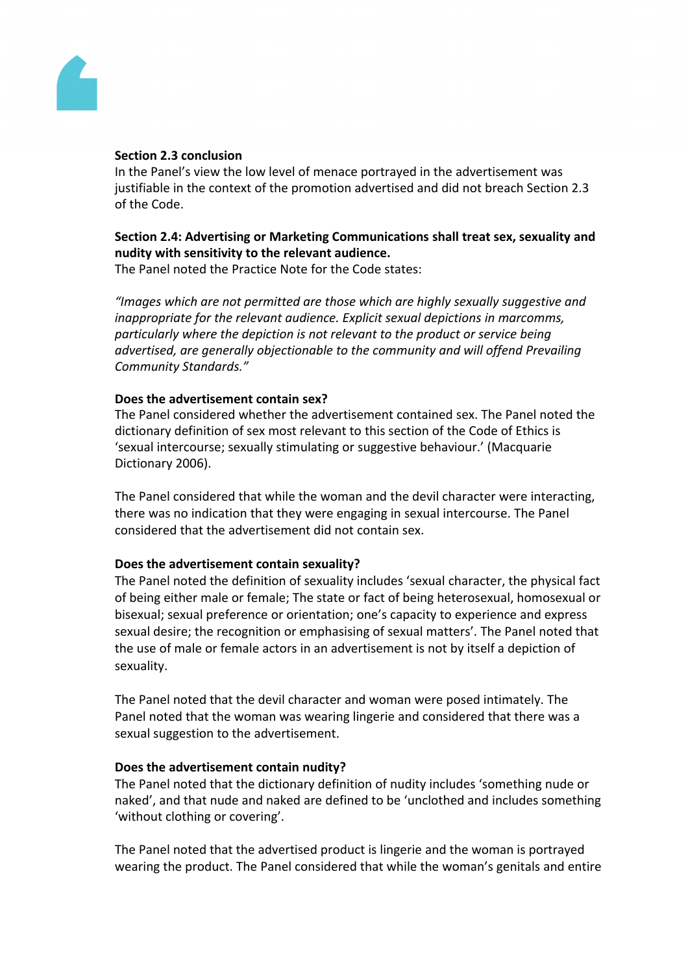

#### **Section 2.3 conclusion**

In the Panel's view the low level of menace portrayed in the advertisement was justifiable in the context of the promotion advertised and did not breach Section 2.3 of the Code.

# **Section 2.4: Advertising or Marketing Communications shall treat sex, sexuality and nudity with sensitivity to the relevant audience.**

The Panel noted the Practice Note for the Code states:

*"Images which are not permitted are those which are highly sexually suggestive and inappropriate for the relevant audience. Explicit sexual depictions in marcomms, particularly where the depiction is not relevant to the product or service being advertised, are generally objectionable to the community and will offend Prevailing Community Standards."*

#### **Does the advertisement contain sex?**

The Panel considered whether the advertisement contained sex. The Panel noted the dictionary definition of sex most relevant to this section of the Code of Ethics is 'sexual intercourse; sexually stimulating or suggestive behaviour.' (Macquarie Dictionary 2006).

The Panel considered that while the woman and the devil character were interacting, there was no indication that they were engaging in sexual intercourse. The Panel considered that the advertisement did not contain sex.

### **Does the advertisement contain sexuality?**

The Panel noted the definition of sexuality includes 'sexual character, the physical fact of being either male or female; The state or fact of being heterosexual, homosexual or bisexual; sexual preference or orientation; one's capacity to experience and express sexual desire; the recognition or emphasising of sexual matters'. The Panel noted that the use of male or female actors in an advertisement is not by itself a depiction of sexuality.

The Panel noted that the devil character and woman were posed intimately. The Panel noted that the woman was wearing lingerie and considered that there was a sexual suggestion to the advertisement.

### **Does the advertisement contain nudity?**

The Panel noted that the dictionary definition of nudity includes 'something nude or naked', and that nude and naked are defined to be 'unclothed and includes something 'without clothing or covering'.

The Panel noted that the advertised product is lingerie and the woman is portrayed wearing the product. The Panel considered that while the woman's genitals and entire